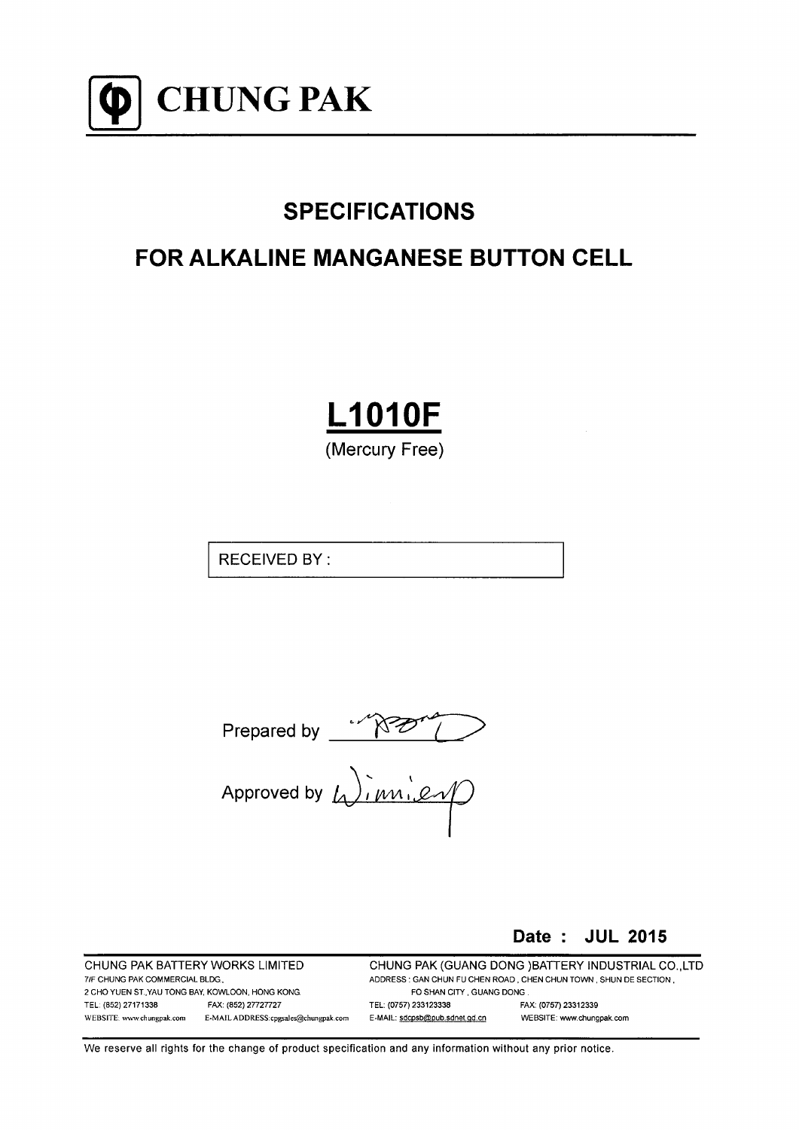

# **SPECIFICATIONS**

# **FOR ALKALINE MANGANESE BUTTON CELL**

# **L1010F**

(Mercury Free)

**RECEIVED BY:** 

Prepared by  $\sqrt{N^2/2}$ 

Date: JUL 2015

CHUNG PAK BATTERY WORKS LIMITED 7/F CHUNG PAK COMMERCIAL BLDG. 2 CHO YUEN ST., YAU TONG BAY, KOWLOON, HONG KONG. TEL: (852) 27171338 FAX: (852) 27727727 WEBSITE: www.chungpak.com E-MAIL ADDRESS:cpgsales@chungpak.com CHUNG PAK (GUANG DONG) BATTERY INDUSTRIAL CO., LTD ADDRESS : GAN CHUN FU CHEN ROAD, CHEN CHUN TOWN, SHUN DE SECTION, FO SHAN CITY, GUANG DONG. TEL: (0757) 233123338 FAX: (0757) 23312339 E-MAIL: sdcpsb@pub.sdnet.gd.cn WEBSITE: www.chungpak.com

We reserve all rights for the change of product specification and any information without any prior notice.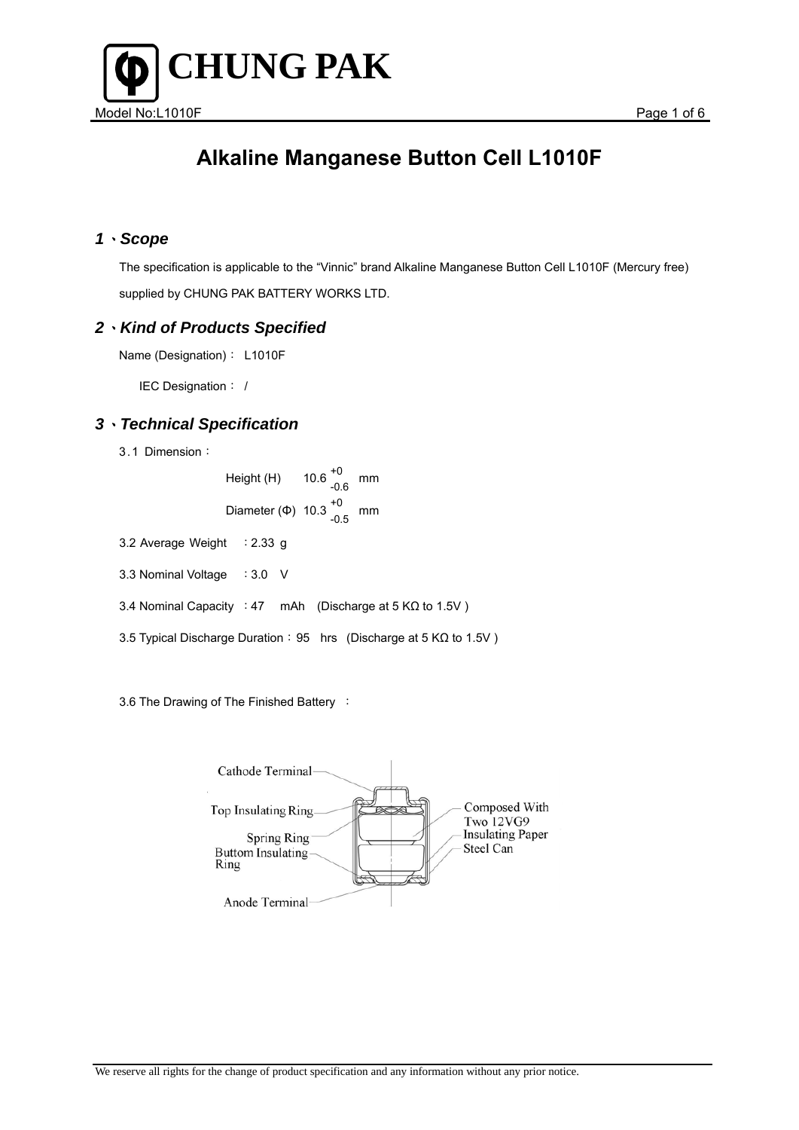

#### *1*、*Scope*

 The specification is applicable to the "Vinnic" brand Alkaline Manganese Button Cell L1010F (Mercury free) supplied by CHUNG PAK BATTERY WORKS LTD.

#### *2*、*Kind of Products Specified*

Name (Designation): L1010F

IEC Designation: /

### *3*、*Technical Specification*

3.1 Dimension:

Height (H)  $10.6\frac{^{+0}}{^{0.6}}$  mm Diameter (Φ)  $10.3^{+0}_{-0.5}$  mm

- 3.2 Average Weight : 2.33 g
- 3.3 Nominal Voltage : 3.0 V
- 3.4 Nominal Capacity : 47 mAh (Discharge at 5 KΩ to 1.5V )
- 3.5 Typical Discharge Duration: 95 hrs (Discharge at 5 KΩ to 1.5V )

3.6 The Drawing of The Finished Battery :

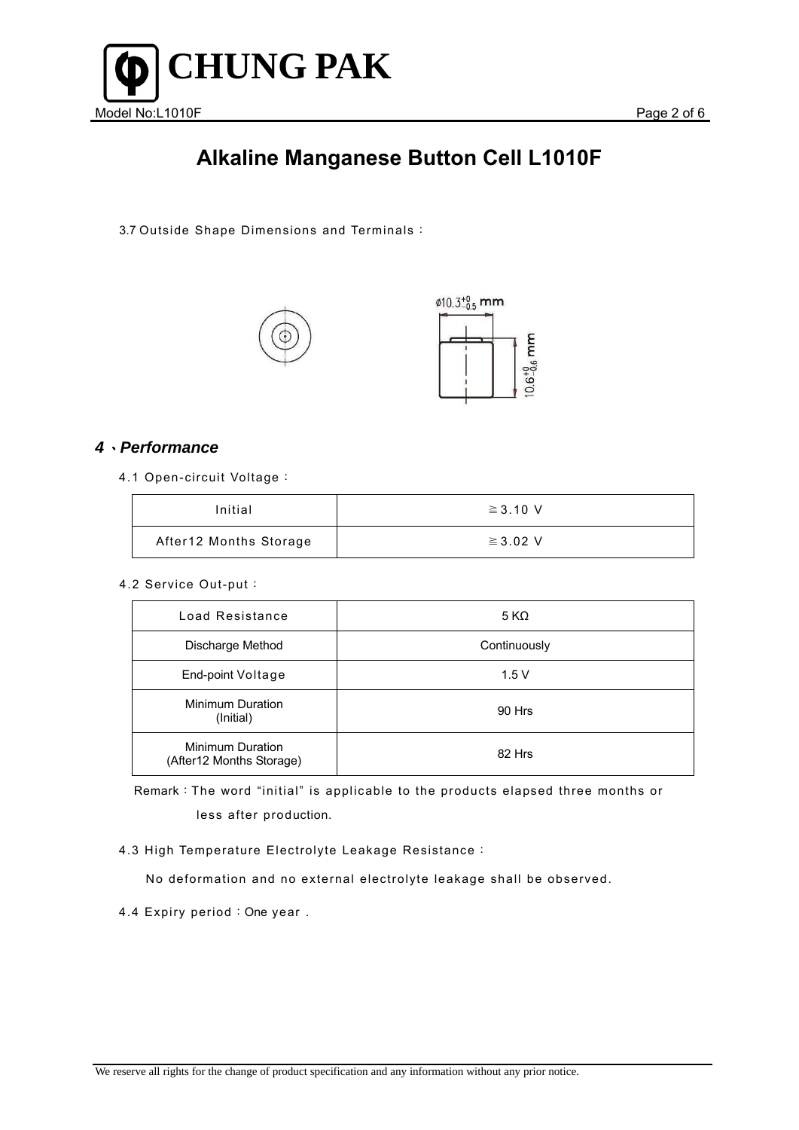

3.7 Outside Shape Dimensions and Terminals:





### *4*、*Performance*

4.1 Open-circuit Voltage:

| Initial                | $\geq$ 3.10 V |
|------------------------|---------------|
| After12 Months Storage | $\geq$ 3.02 V |

#### 4.2 Service Out-put:

| Load Resistance                                     | 5 KΩ         |
|-----------------------------------------------------|--------------|
| Discharge Method                                    | Continuously |
| End-point Voltage                                   | 1.5V         |
| Minimum Duration<br>(Initial)                       | 90 Hrs       |
| <b>Minimum Duration</b><br>(After12 Months Storage) | 82 Hrs       |

Remark:The word "initial" is applicable to the products elapsed three months or less after production.

#### 4.3 High Temperature Electrolyte Leakage Resistance:

No deformation and no external electrolyte leakage shall be observed.

4.4 Expiry period: One year.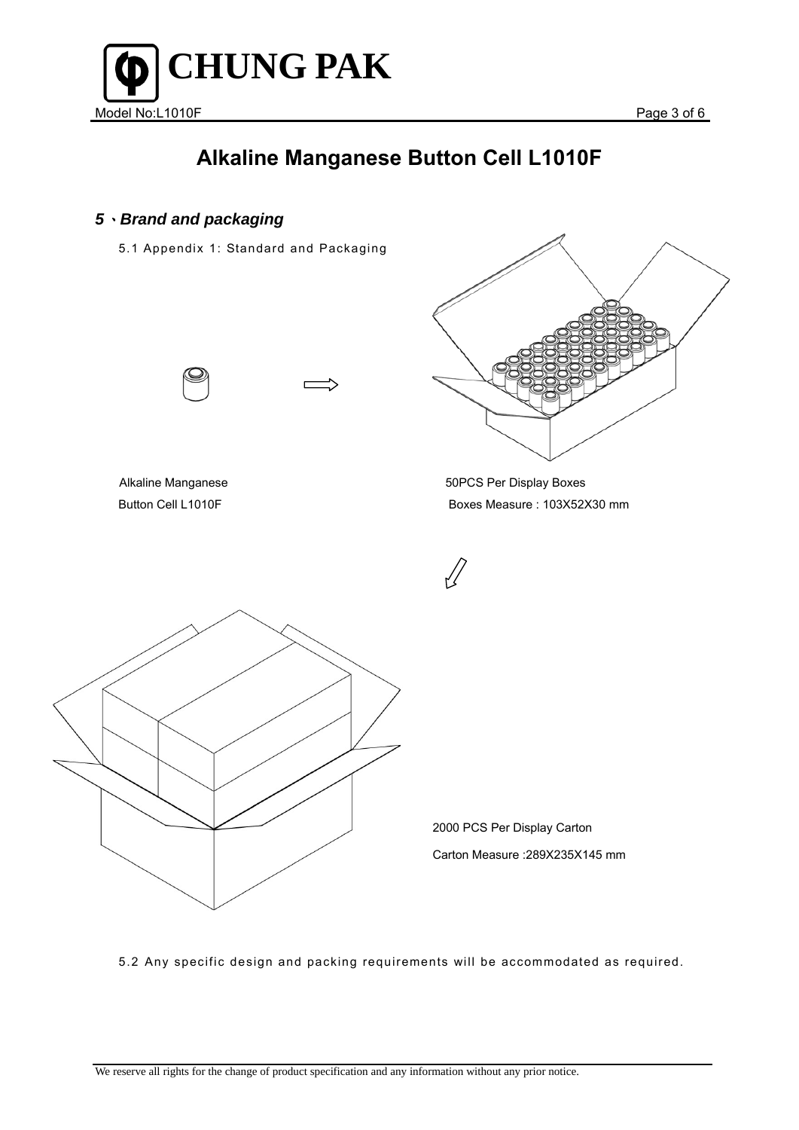

### *5*、*Brand and packaging*

5.1 Appendix 1: Standard and Packaging





Alkaline Manganese **50PCS** Per Display Boxes Button Cell L1010F Boxes Measure : 103Χ52Χ30 mm



5.2 Any specific design and packing requirements will be accommodated as required.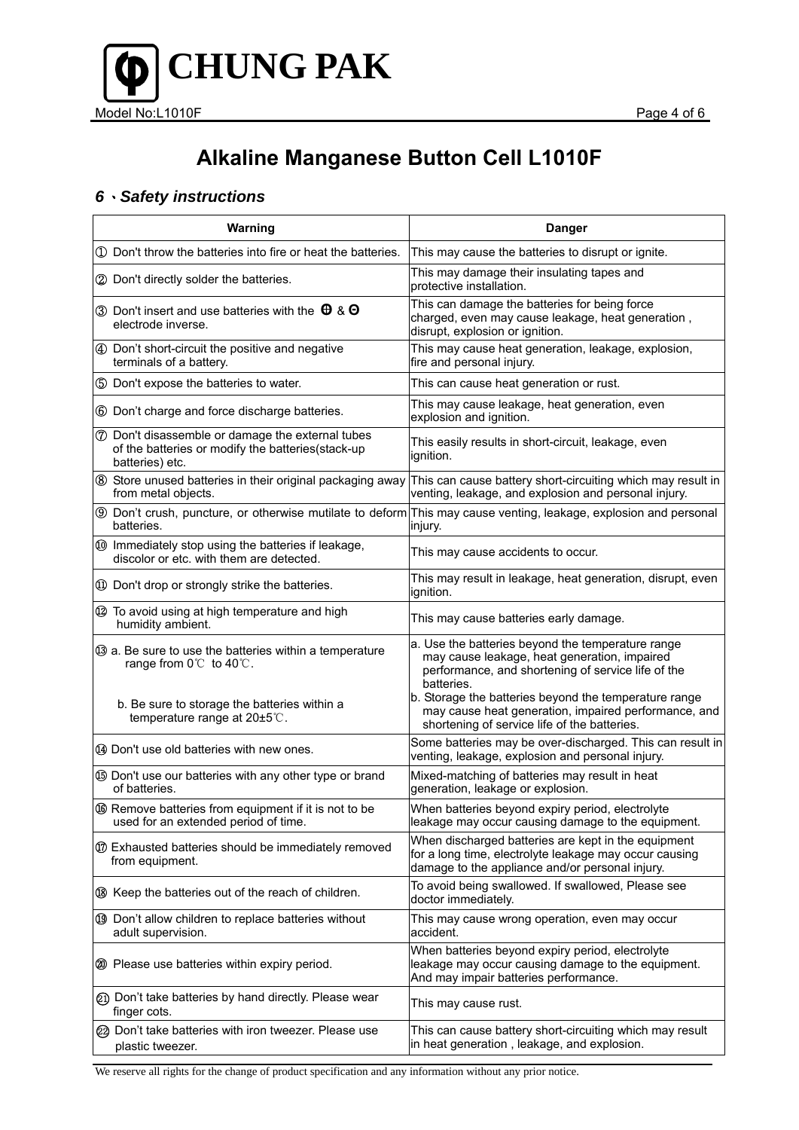

### *6*、*Safety instructions*

| Warning                                                                                                                                                        | <b>Danger</b>                                                                                                                                                                                                                                                                                                                          |
|----------------------------------------------------------------------------------------------------------------------------------------------------------------|----------------------------------------------------------------------------------------------------------------------------------------------------------------------------------------------------------------------------------------------------------------------------------------------------------------------------------------|
| 1 Don't throw the batteries into fire or heat the batteries.                                                                                                   | This may cause the batteries to disrupt or ignite.                                                                                                                                                                                                                                                                                     |
| 2 Don't directly solder the batteries.                                                                                                                         | This may damage their insulating tapes and<br>protective installation.                                                                                                                                                                                                                                                                 |
| 3 Don't insert and use batteries with the $\theta$ & $\Theta$<br>electrode inverse.                                                                            | This can damage the batteries for being force<br>charged, even may cause leakage, heat generation,<br>disrupt, explosion or ignition.                                                                                                                                                                                                  |
| 4 Don't short-circuit the positive and negative<br>terminals of a battery.                                                                                     | This may cause heat generation, leakage, explosion,<br>fire and personal injury.                                                                                                                                                                                                                                                       |
| 5 Don't expose the batteries to water.                                                                                                                         | This can cause heat generation or rust.                                                                                                                                                                                                                                                                                                |
| 6 Don't charge and force discharge batteries.                                                                                                                  | This may cause leakage, heat generation, even<br>explosion and ignition.                                                                                                                                                                                                                                                               |
| <b>7</b> Don't disassemble or damage the external tubes<br>of the batteries or modify the batteries(stack-up<br>batteries) etc.                                | This easily results in short-circuit, leakage, even<br>ignition.                                                                                                                                                                                                                                                                       |
| 8 Store unused batteries in their original packaging away<br>from metal objects.                                                                               | This can cause battery short-circuiting which may result in<br>venting, leakage, and explosion and personal injury.                                                                                                                                                                                                                    |
| batteries.                                                                                                                                                     | <b>9</b> Don't crush, puncture, or otherwise mutilate to deform This may cause venting, leakage, explosion and personal<br>injury.                                                                                                                                                                                                     |
| 10 Immediately stop using the batteries if leakage,<br>discolor or etc. with them are detected.                                                                | This may cause accidents to occur.                                                                                                                                                                                                                                                                                                     |
| 10 Don't drop or strongly strike the batteries.                                                                                                                | This may result in leakage, heat generation, disrupt, even<br>ignition.                                                                                                                                                                                                                                                                |
| 12 To avoid using at high temperature and high<br>humidity ambient.                                                                                            | This may cause batteries early damage.                                                                                                                                                                                                                                                                                                 |
| 3 a. Be sure to use the batteries within a temperature<br>range from 0℃ to 40℃.<br>b. Be sure to storage the batteries within a<br>temperature range at 20±5℃. | a. Use the batteries beyond the temperature range<br>may cause leakage, heat generation, impaired<br>performance, and shortening of service life of the<br>batteries.<br>b. Storage the batteries beyond the temperature range<br>may cause heat generation, impaired performance, and<br>shortening of service life of the batteries. |
| 44 Don't use old batteries with new ones.                                                                                                                      | Some batteries may be over-discharged. This can result in<br>venting, leakage, explosion and personal injury.                                                                                                                                                                                                                          |
| <b>69 Don't use our batteries with any other type or brand</b><br>of batteries.                                                                                | Mixed-matching of batteries may result in heat<br>generation, leakage or explosion.                                                                                                                                                                                                                                                    |
| <b>66</b> Remove batteries from equipment if it is not to be<br>used for an extended period of time.                                                           | When batteries beyond expiry period, electrolyte<br>leakage may occur causing damage to the equipment.                                                                                                                                                                                                                                 |
| 10 Exhausted batteries should be immediately removed<br>from equipment.                                                                                        | When discharged batteries are kept in the equipment<br>for a long time, electrolyte leakage may occur causing<br>damage to the appliance and/or personal injury.                                                                                                                                                                       |
| ® Keep the batteries out of the reach of children.                                                                                                             | To avoid being swallowed. If swallowed, Please see<br>doctor immediately.                                                                                                                                                                                                                                                              |
| 19 Don't allow children to replace batteries without<br>adult supervision.                                                                                     | This may cause wrong operation, even may occur<br>accident.                                                                                                                                                                                                                                                                            |
| 20 Please use batteries within expiry period.                                                                                                                  | When batteries beyond expiry period, electrolyte<br>leakage may occur causing damage to the equipment.<br>And may impair batteries performance.                                                                                                                                                                                        |
| 21) Don't take batteries by hand directly. Please wear<br>finger cots.                                                                                         | This may cause rust.                                                                                                                                                                                                                                                                                                                   |
| 22 Don't take batteries with iron tweezer. Please use<br>plastic tweezer.                                                                                      | This can cause battery short-circuiting which may result<br>in heat generation, leakage, and explosion.                                                                                                                                                                                                                                |

We reserve all rights for the change of product specification and any information without any prior notice.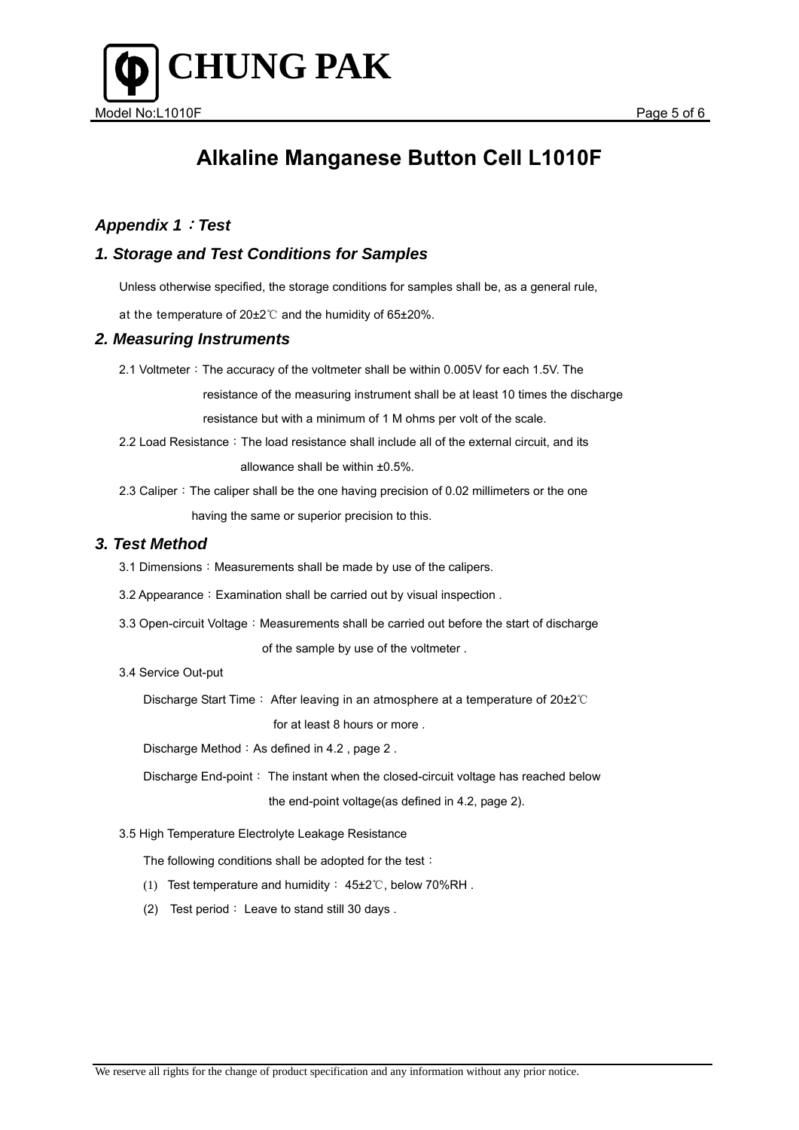



### *Appendix 1*:*Test*

#### *1. Storage and Test Conditions for Samples*

Unless otherwise specified, the storage conditions for samples shall be, as a general rule,

at the temperature of 20±2℃ and the humidity of 65±20%.

#### *2. Measuring Instruments*

2.1 Voltmeter: The accuracy of the voltmeter shall be within 0.005V for each 1.5V. The

resistance of the measuring instrument shall be at least 10 times the discharge

resistance but with a minimum of 1 M ohms per volt of the scale.

2.2 Load Resistance: The load resistance shall include all of the external circuit, and its allowance shall be within ±0.5%.

2.3 Caliper: The caliper shall be the one having precision of 0.02 millimeters or the one having the same or superior precision to this.

#### *3. Test Method*

3.1 Dimensions: Measurements shall be made by use of the calipers.

3.2 Appearance: Examination shall be carried out by visual inspection.

3.3 Open-circuit Voltage: Measurements shall be carried out before the start of discharge of the sample by use of the voltmeter .

#### 3.4 Service Out-put

Discharge Start Time: After leaving in an atmosphere at a temperature of 20±2℃ for at least 8 hours or more .

Discharge Method: As defined in  $4.2$ , page  $2$ .

Discharge End-point: The instant when the closed-circuit voltage has reached below the end-point voltage(as defined in 4.2, page 2).

3.5 High Temperature Electrolyte Leakage Resistance

The following conditions shall be adopted for the test:

- (1) Test temperature and humidity: 45±2℃, below 70%RH .
- (2) Test period: Leave to stand still 30 days .